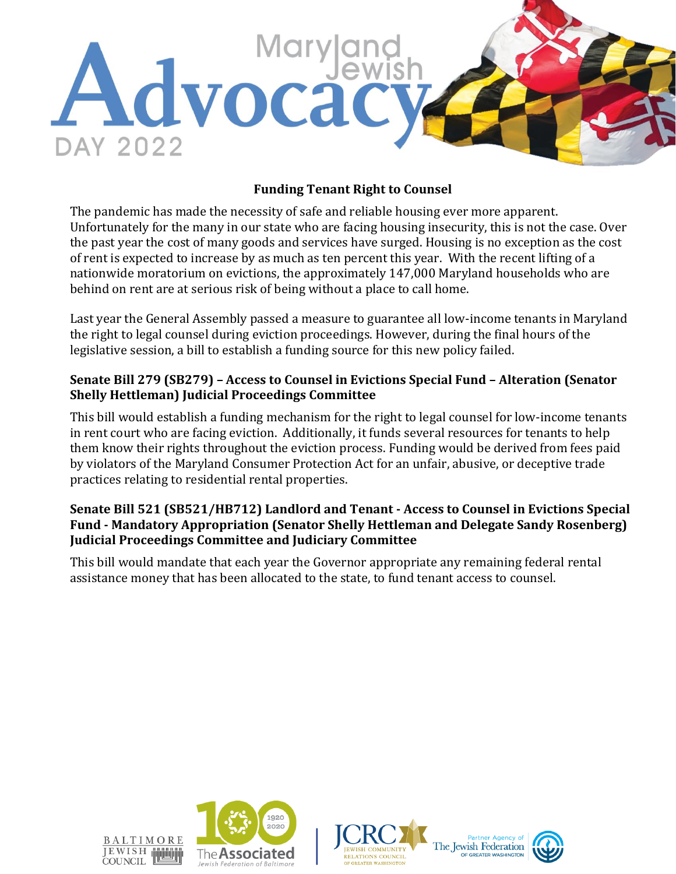

## **Funding Tenant Right to Counsel**

The pandemic has made the necessity of safe and reliable housing ever more apparent. Unfortunately for the many in our state who are facing housing insecurity, this is not the case. Over the past year the cost of many goods and services have surged. Housing is no exception as the cost of rent is expected to increase by as much as ten percent this year. With the recent lifting of a nationwide moratorium on evictions, the approximately 147,000 Maryland households who are behind on rent are at serious risk of being without a place to call home.

Last year the General Assembly passed a measure to guarantee all low-income tenants in Maryland the right to legal counsel during eviction proceedings. However, during the final hours of the legislative session, a bill to establish a funding source for this new policy failed.

### **Senate Bill 279 (SB279) – Access to Counsel in Evictions Special Fund – Alteration (Senator Shelly Hettleman) Judicial Proceedings Committee**

This bill would establish a funding mechanism for the right to legal counsel for low-income tenants in rent court who are facing eviction. Additionally, it funds several resources for tenants to help them know their rights throughout the eviction process. Funding would be derived from fees paid by violators of the Maryland Consumer Protection Act for an unfair, abusive, or deceptive trade practices relating to residential rental properties.

### **Senate Bill 521 (SB521/HB712) Landlord and Tenant - Access to Counsel in Evictions Special Fund - Mandatory Appropriation (Senator Shelly Hettleman and Delegate Sandy Rosenberg) Judicial Proceedings Committee and Judiciary Committee**

This bill would mandate that each year the Governor appropriate any remaining federal rental assistance money that has been allocated to the state, to fund tenant access to counsel.